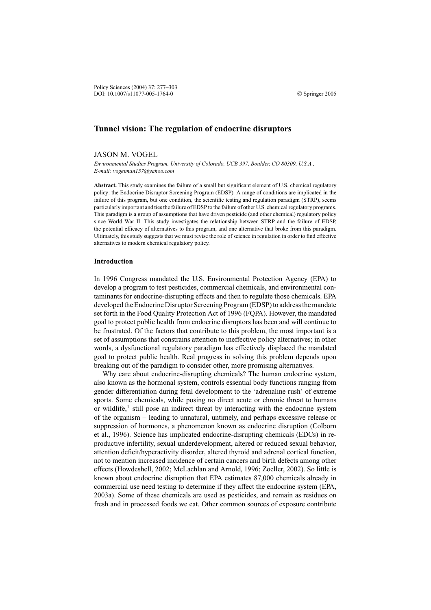# **Tunnel vision: The regulation of endocrine disruptors**

# JASON M. VOGEL

*Environmental Studies Program, University of Colorado, UCB 397, Boulder, CO 80309, U.S.A., E-mail: vogelman157@yahoo.com*

**Abstract.** This study examines the failure of a small but significant element of U.S. chemical regulatory policy: the Endocrine Disruptor Screening Program (EDSP). A range of conditions are implicated in the failure of this program, but one condition, the scientific testing and regulation paradigm (STRP), seems particularly important and ties the failure of EDSP to the failure of other U.S. chemical regulatory programs. This paradigm is a group of assumptions that have driven pesticide (and other chemical) regulatory policy since World War II. This study investigates the relationship between STRP and the failure of EDSP, the potential efficacy of alternatives to this program, and one alternative that broke from this paradigm. Ultimately, this study suggests that we must revise the role of science in regulation in order to find effective alternatives to modern chemical regulatory policy.

#### **Introduction**

In 1996 Congress mandated the U.S. Environmental Protection Agency (EPA) to develop a program to test pesticides, commercial chemicals, and environmental contaminants for endocrine-disrupting effects and then to regulate those chemicals. EPA developed the Endocrine Disruptor Screening Program (EDSP) to address the mandate set forth in the Food Quality Protection Act of 1996 (FQPA). However, the mandated goal to protect public health from endocrine disruptors has been and will continue to be frustrated. Of the factors that contribute to this problem, the most important is a set of assumptions that constrains attention to ineffective policy alternatives; in other words, a dysfunctional regulatory paradigm has effectively displaced the mandated goal to protect public health. Real progress in solving this problem depends upon breaking out of the paradigm to consider other, more promising alternatives.

Why care about endocrine-disrupting chemicals? The human endocrine system, also known as the hormonal system, controls essential body functions ranging from gender differentiation during fetal development to the 'adrenaline rush' of extreme sports. Some chemicals, while posing no direct acute or chronic threat to humans or wildlife, $\frac{1}{1}$  still pose an indirect threat by interacting with the endocrine system of the organism – leading to unnatural, untimely, and perhaps excessive release or suppression of hormones, a phenomenon known as endocrine disruption (Colborn et al., 1996). Science has implicated endocrine-disrupting chemicals (EDCs) in reproductive infertility, sexual underdevelopment, altered or reduced sexual behavior, attention deficit/hyperactivity disorder, altered thyroid and adrenal cortical function, not to mention increased incidence of certain cancers and birth defects among other effects (Howdeshell, 2002; McLachlan and Arnold, 1996; Zoeller, 2002). So little is known about endocrine disruption that EPA estimates 87,000 chemicals already in commercial use need testing to determine if they affect the endocrine system (EPA, 2003a). Some of these chemicals are used as pesticides, and remain as residues on fresh and in processed foods we eat. Other common sources of exposure contribute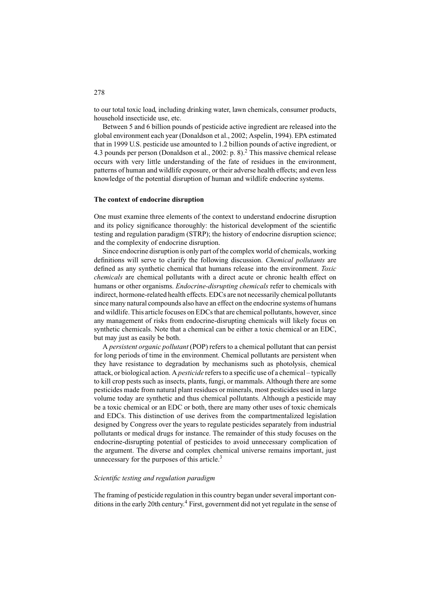to our total toxic load, including drinking water, lawn chemicals, consumer products, household insecticide use, etc.

Between 5 and 6 billion pounds of pesticide active ingredient are released into the global environment each year (Donaldson et al., 2002; Aspelin, 1994). EPA estimated that in 1999 U.S. pesticide use amounted to 1.2 billion pounds of active ingredient, or 4.3 pounds per person (Donaldson et al., 2002: p. 8).<sup>2</sup> This massive chemical release occurs with very little understanding of the fate of residues in the environment, patterns of human and wildlife exposure, or their adverse health effects; and even less knowledge of the potential disruption of human and wildlife endocrine systems.

## **The context of endocrine disruption**

One must examine three elements of the context to understand endocrine disruption and its policy significance thoroughly: the historical development of the scientific testing and regulation paradigm (STRP); the history of endocrine disruption science; and the complexity of endocrine disruption.

Since endocrine disruption is only part of the complex world of chemicals, working definitions will serve to clarify the following discussion. *Chemical pollutants* are defined as any synthetic chemical that humans release into the environment. *Toxic chemicals* are chemical pollutants with a direct acute or chronic health effect on humans or other organisms. *Endocrine-disrupting chemicals* refer to chemicals with indirect, hormone-related health effects. EDCs are not necessarily chemical pollutants since many natural compounds also have an effect on the endocrine systems of humans and wildlife. This article focuses on EDCs that are chemical pollutants, however, since any management of risks from endocrine-disrupting chemicals will likely focus on synthetic chemicals. Note that a chemical can be either a toxic chemical or an EDC, but may just as easily be both.

A *persistent organic pollutant* (POP) refers to a chemical pollutant that can persist for long periods of time in the environment. Chemical pollutants are persistent when they have resistance to degradation by mechanisms such as photolysis, chemical attack, or biological action. A *pesticide* refers to a specific use of a chemical – typically to kill crop pests such as insects, plants, fungi, or mammals. Although there are some pesticides made from natural plant residues or minerals, most pesticides used in large volume today are synthetic and thus chemical pollutants. Although a pesticide may be a toxic chemical or an EDC or both, there are many other uses of toxic chemicals and EDCs. This distinction of use derives from the compartmentalized legislation designed by Congress over the years to regulate pesticides separately from industrial pollutants or medical drugs for instance. The remainder of this study focuses on the endocrine-disrupting potential of pesticides to avoid unnecessary complication of the argument. The diverse and complex chemical universe remains important, just unnecessary for the purposes of this article. $3$ 

### *Scientific testing and regulation paradigm*

The framing of pesticide regulation in this country began under several important conditions in the early 20th century.<sup>4</sup> First, government did not yet regulate in the sense of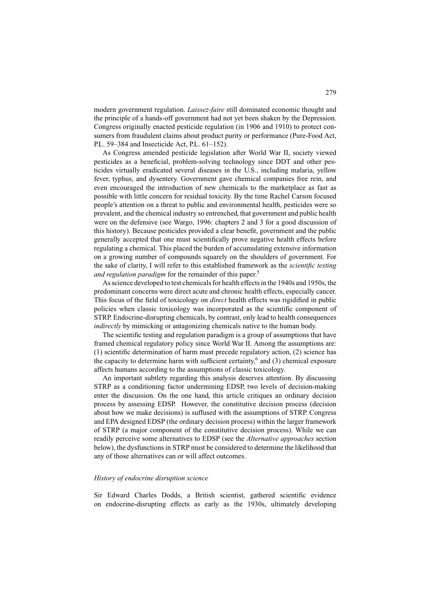modern government regulation. *Laissez-faire* still dominated economic thought and the principle of a hands-off government had not yet been shaken by the Depression. Congress originally enacted pesticide regulation (in 1906 and 1910) to protect consumers from fraudulent claims about product purity or performance (Pure-Food Act, P.L. 59–384 and Insecticide Act, P.L. 61–152).

As Congress amended pesticide legislation after World War II, society viewed pesticides as a beneficial, problem-solving technology since DDT and other pesticides virtually eradicated several diseases in the U.S., including malaria, yellow fever, typhus, and dysentery. Government gave chemical companies free rein, and even encouraged the introduction of new chemicals to the marketplace as fast as possible with little concern for residual toxicity. By the time Rachel Carson focused people's attention on a threat to public and environmental health, pesticides were so prevalent, and the chemical industry so entrenched, that government and public health were on the defensive (see Wargo, 1996: chapters 2 and 3 for a good discussion of this history). Because pesticides provided a clear benefit, government and the public generally accepted that one must scientifically prove negative health effects before regulating a chemical. This placed the burden of accumulating extensive information on a growing number of compounds squarely on the shoulders of government. For the sake of clarity, I will refer to this established framework as the *scientific testing and regulation paradigm* for the remainder of this paper.<sup>5</sup>

As science developed to test chemicals for health effects in the 1940s and 1950s, the predominant concerns were direct acute and chronic health effects, especially cancer. This focus of the field of toxicology on *direct* health effects was rigidified in public policies when classic toxicology was incorporated as the scientific component of STRP. Endocrine-disrupting chemicals, by contrast, only lead to health consequences *indirectly* by mimicking or antagonizing chemicals native to the human body.

The scientific testing and regulation paradigm is a group of assumptions that have framed chemical regulatory policy since World War II. Among the assumptions are: (1) scientific determination of harm must precede regulatory action, (2) science has the capacity to determine harm with sufficient certainty,<sup>6</sup> and (3) chemical exposure affects humans according to the assumptions of classic toxicology.

An important subtlety regarding this analysis deserves attention. By discussing STRP as a conditioning factor undermining EDSP, two levels of decision-making enter the discussion. On the one hand, this article critiques an ordinary decision process by assessing EDSP. However, the constitutive decision process (decision about how we make decisions) is suffused with the assumptions of STRP. Congress and EPA designed EDSP (the ordinary decision process) within the larger framework of STRP (a major component of the constitutive decision process). While we can readily perceive some alternatives to EDSP (see the *Alternative approaches* section below), the dysfunctions in STRP must be considered to determine the likelihood that any of those alternatives can or will affect outcomes.

### *History of endocrine disruption science*

Sir Edward Charles Dodds, a British scientist, gathered scientific evidence on endocrine-disrupting effects as early as the 1930s, ultimately developing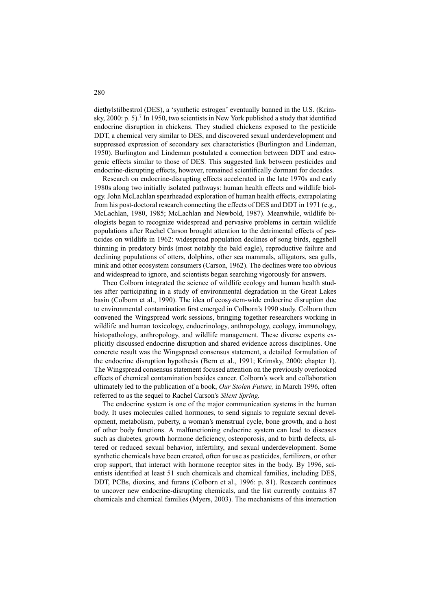diethylstilbestrol (DES), a 'synthetic estrogen' eventually banned in the U.S. (Krimsky, 2000: p. 5).<sup>7</sup> In 1950, two scientists in New York published a study that identified endocrine disruption in chickens. They studied chickens exposed to the pesticide DDT, a chemical very similar to DES, and discovered sexual underdevelopment and suppressed expression of secondary sex characteristics (Burlington and Lindeman, 1950). Burlington and Lindeman postulated a connection between DDT and estrogenic effects similar to those of DES. This suggested link between pesticides and endocrine-disrupting effects, however, remained scientifically dormant for decades.

Research on endocrine-disrupting effects accelerated in the late 1970s and early 1980s along two initially isolated pathways: human health effects and wildlife biology. John McLachlan spearheaded exploration of human health effects, extrapolating from his post-doctoral research connecting the effects of DES and DDT in 1971 (e.g., McLachlan, 1980, 1985; McLachlan and Newbold, 1987). Meanwhile, wildlife biologists began to recognize widespread and pervasive problems in certain wildlife populations after Rachel Carson brought attention to the detrimental effects of pesticides on wildlife in 1962: widespread population declines of song birds, eggshell thinning in predatory birds (most notably the bald eagle), reproductive failure and declining populations of otters, dolphins, other sea mammals, alligators, sea gulls, mink and other ecosystem consumers (Carson, 1962). The declines were too obvious and widespread to ignore, and scientists began searching vigorously for answers.

Theo Colborn integrated the science of wildlife ecology and human health studies after participating in a study of environmental degradation in the Great Lakes basin (Colborn et al., 1990). The idea of ecosystem-wide endocrine disruption due to environmental contamination first emerged in Colborn's 1990 study. Colborn then convened the Wingspread work sessions, bringing together researchers working in wildlife and human toxicology, endocrinology, anthropology, ecology, immunology, histopathology, anthropology, and wildlife management. These diverse experts explicitly discussed endocrine disruption and shared evidence across disciplines. One concrete result was the Wingspread consensus statement, a detailed formulation of the endocrine disruption hypothesis (Bern et al., 1991; Krimsky, 2000: chapter 1). The Wingspread consensus statement focused attention on the previously overlooked effects of chemical contamination besides cancer. Colborn's work and collaboration ultimately led to the publication of a book, *Our Stolen Future,* in March 1996, often referred to as the sequel to Rachel Carson's *Silent Spring.*

The endocrine system is one of the major communication systems in the human body. It uses molecules called hormones, to send signals to regulate sexual development, metabolism, puberty, a woman's menstrual cycle, bone growth, and a host of other body functions. A malfunctioning endocrine system can lead to diseases such as diabetes, growth hormone deficiency, osteoporosis, and to birth defects, altered or reduced sexual behavior, infertility, and sexual underdevelopment. Some synthetic chemicals have been created, often for use as pesticides, fertilizers, or other crop support, that interact with hormone receptor sites in the body. By 1996, scientists identified at least 51 such chemicals and chemical families, including DES, DDT, PCBs, dioxins, and furans (Colborn et al., 1996: p. 81). Research continues to uncover new endocrine-disrupting chemicals, and the list currently contains 87 chemicals and chemical families (Myers, 2003). The mechanisms of this interaction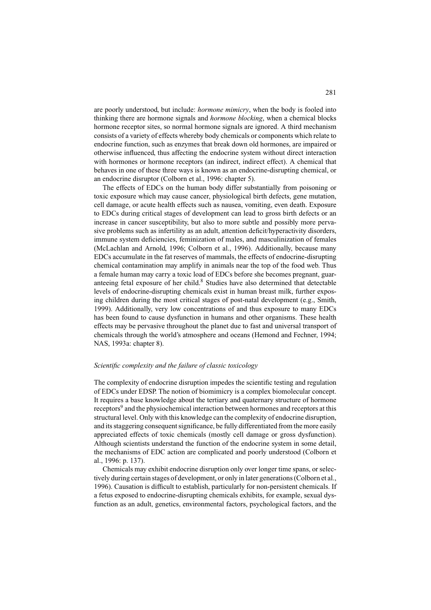are poorly understood, but include: *hormone mimicry*, when the body is fooled into thinking there are hormone signals and *hormone blocking*, when a chemical blocks hormone receptor sites, so normal hormone signals are ignored. A third mechanism consists of a variety of effects whereby body chemicals or components which relate to endocrine function, such as enzymes that break down old hormones, are impaired or otherwise influenced, thus affecting the endocrine system without direct interaction with hormones or hormone receptors (an indirect, indirect effect). A chemical that behaves in one of these three ways is known as an endocrine-disrupting chemical, or an endocrine disruptor (Colborn et al., 1996: chapter 5).

The effects of EDCs on the human body differ substantially from poisoning or toxic exposure which may cause cancer, physiological birth defects, gene mutation, cell damage, or acute health effects such as nausea, vomiting, even death. Exposure to EDCs during critical stages of development can lead to gross birth defects or an increase in cancer susceptibility, but also to more subtle and possibly more pervasive problems such as infertility as an adult, attention deficit/hyperactivity disorders, immune system deficiencies, feminization of males, and masculinization of females (McLachlan and Arnold, 1996; Colborn et al., 1996). Additionally, because many EDCs accumulate in the fat reserves of mammals, the effects of endocrine-disrupting chemical contamination may amplify in animals near the top of the food web. Thus a female human may carry a toxic load of EDCs before she becomes pregnant, guaranteeing fetal exposure of her child.8 Studies have also determined that detectable levels of endocrine-disrupting chemicals exist in human breast milk, further exposing children during the most critical stages of post-natal development (e.g., Smith, 1999). Additionally, very low concentrations of and thus exposure to many EDCs has been found to cause dysfunction in humans and other organisms. These health effects may be pervasive throughout the planet due to fast and universal transport of chemicals through the world's atmosphere and oceans (Hemond and Fechner, 1994; NAS, 1993a: chapter 8).

#### *Scientific complexity and the failure of classic toxicology*

The complexity of endocrine disruption impedes the scientific testing and regulation of EDCs under EDSP. The notion of biomimicry is a complex biomolecular concept. It requires a base knowledge about the tertiary and quaternary structure of hormone receptors<sup>9</sup> and the physiochemical interaction between hormones and receptors at this structural level. Only with this knowledge can the complexity of endocrine disruption, and its staggering consequent significance, be fully differentiated from the more easily appreciated effects of toxic chemicals (mostly cell damage or gross dysfunction). Although scientists understand the function of the endocrine system in some detail, the mechanisms of EDC action are complicated and poorly understood (Colborn et al., 1996: p. 137).

Chemicals may exhibit endocrine disruption only over longer time spans, or selectively during certain stages of development, or only in later generations (Colborn et al., 1996). Causation is difficult to establish, particularly for non-persistent chemicals. If a fetus exposed to endocrine-disrupting chemicals exhibits, for example, sexual dysfunction as an adult, genetics, environmental factors, psychological factors, and the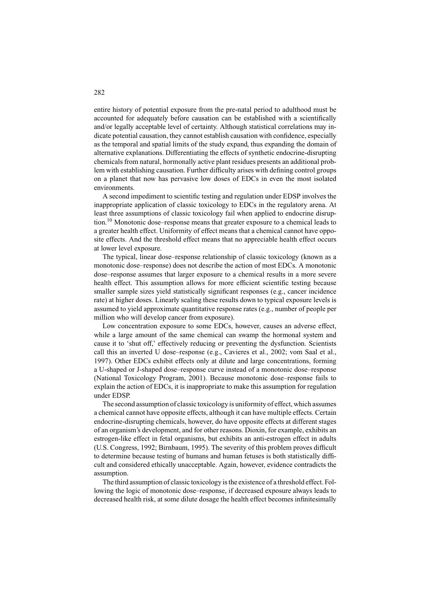entire history of potential exposure from the pre-natal period to adulthood must be accounted for adequately before causation can be established with a scientifically and/or legally acceptable level of certainty. Although statistical correlations may indicate potential causation, they cannot establish causation with confidence, especially as the temporal and spatial limits of the study expand, thus expanding the domain of alternative explanations. Differentiating the effects of synthetic endocrine-disrupting chemicals from natural, hormonally active plant residues presents an additional problem with establishing causation. Further difficulty arises with defining control groups on a planet that now has pervasive low doses of EDCs in even the most isolated environments.

A second impediment to scientific testing and regulation under EDSP involves the inappropriate application of classic toxicology to EDCs in the regulatory arena. At least three assumptions of classic toxicology fail when applied to endocrine disruption.<sup>10</sup> Monotonic dose–response means that greater exposure to a chemical leads to a greater health effect. Uniformity of effect means that a chemical cannot have opposite effects. And the threshold effect means that no appreciable health effect occurs at lower level exposure.

The typical, linear dose–response relationship of classic toxicology (known as a monotonic dose–response) does not describe the action of most EDCs. A monotonic dose–response assumes that larger exposure to a chemical results in a more severe health effect. This assumption allows for more efficient scientific testing because smaller sample sizes yield statistically significant responses (e.g., cancer incidence rate) at higher doses. Linearly scaling these results down to typical exposure levels is assumed to yield approximate quantitative response rates (e.g., number of people per million who will develop cancer from exposure).

Low concentration exposure to some EDCs, however, causes an adverse effect, while a large amount of the same chemical can swamp the hormonal system and cause it to 'shut off,' effectively reducing or preventing the dysfunction. Scientists call this an inverted U dose–response (e.g., Cavieres et al., 2002; vom Saal et al., 1997). Other EDCs exhibit effects only at dilute and large concentrations, forming a U-shaped or J-shaped dose–response curve instead of a monotonic dose–response (National Toxicology Program, 2001). Because monotonic dose–response fails to explain the action of EDCs, it is inappropriate to make this assumption for regulation under EDSP.

The second assumption of classic toxicology is uniformity of effect, which assumes a chemical cannot have opposite effects, although it can have multiple effects. Certain endocrine-disrupting chemicals, however, do have opposite effects at different stages of an organism's development, and for other reasons. Dioxin, for example, exhibits an estrogen-like effect in fetal organisms, but exhibits an anti-estrogen effect in adults (U.S. Congress, 1992; Birnbaum, 1995). The severity of this problem proves difficult to determine because testing of humans and human fetuses is both statistically difficult and considered ethically unacceptable. Again, however, evidence contradicts the assumption.

The third assumption of classic toxicology is the existence of a threshold effect. Following the logic of monotonic dose–response, if decreased exposure always leads to decreased health risk, at some dilute dosage the health effect becomes infinitesimally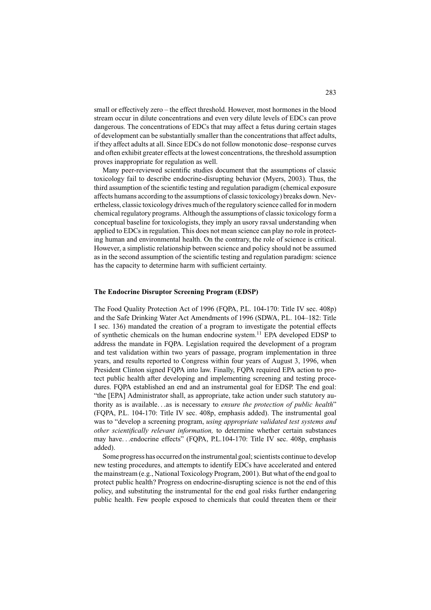small or effectively zero – the effect threshold. However, most hormones in the blood stream occur in dilute concentrations and even very dilute levels of EDCs can prove dangerous. The concentrations of EDCs that may affect a fetus during certain stages of development can be substantially smaller than the concentrations that affect adults, if they affect adults at all. Since EDCs do not follow monotonic dose–response curves and often exhibit greater effects at the lowest concentrations, the threshold assumption proves inappropriate for regulation as well.

Many peer-reviewed scientific studies document that the assumptions of classic toxicology fail to describe endocrine-disrupting behavior (Myers, 2003). Thus, the third assumption of the scientific testing and regulation paradigm (chemical exposure affects humans according to the assumptions of classic toxicology) breaks down. Nevertheless, classic toxicology drives much of the regulatory science called for in modern chemical regulatory programs. Although the assumptions of classic toxicology form a conceptual baseline for toxicologists, they imply an usory ravsal understanding when applied to EDCs in regulation. This does not mean science can play no role in protecting human and environmental health. On the contrary, the role of science is critical. However, a simplistic relationship between science and policy should not be assumed as in the second assumption of the scientific testing and regulation paradigm: science has the capacity to determine harm with sufficient certainty.

#### **The Endocrine Disruptor Screening Program (EDSP)**

The Food Quality Protection Act of 1996 (FQPA, P.L. 104-170: Title IV sec. 408p) and the Safe Drinking Water Act Amendments of 1996 (SDWA, P.L. 104–182: Title I sec. 136) mandated the creation of a program to investigate the potential effects of synthetic chemicals on the human endocrine system.11 EPA developed EDSP to address the mandate in FQPA. Legislation required the development of a program and test validation within two years of passage, program implementation in three years, and results reported to Congress within four years of August 3, 1996, when President Clinton signed FQPA into law. Finally, FQPA required EPA action to protect public health after developing and implementing screening and testing procedures. FQPA established an end and an instrumental goal for EDSP. The end goal: "the [EPA] Administrator shall, as appropriate, take action under such statutory authority as is available...as is necessary to *ensure the protection of public health*" (FQPA, P.L. 104-170: Title IV sec. 408p, emphasis added). The instrumental goal was to "develop a screening program, *using appropriate validated test systems and other scientifically relevant information,* to determine whether certain substances may have...endocrine effects" (FQPA, P.L.104-170: Title IV sec. 408p, emphasis added).

Some progress has occurred on the instrumental goal; scientists continue to develop new testing procedures, and attempts to identify EDCs have accelerated and entered the mainstream (e.g., National Toxicology Program, 2001). But what of the end goal to protect public health? Progress on endocrine-disrupting science is not the end of this policy, and substituting the instrumental for the end goal risks further endangering public health. Few people exposed to chemicals that could threaten them or their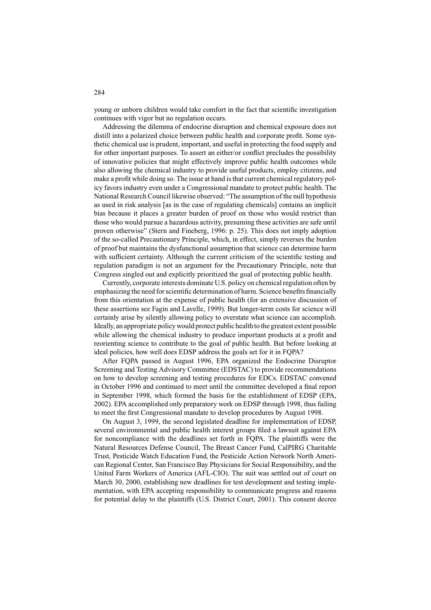young or unborn children would take comfort in the fact that scientific investigation continues with vigor but no regulation occurs.

Addressing the dilemma of endocrine disruption and chemical exposure does not distill into a polarized choice between public health and corporate profit. Some synthetic chemical use is prudent, important, and useful in protecting the food supply and for other important purposes. To assert an either/or conflict precludes the possibility of innovative policies that might effectively improve public health outcomes while also allowing the chemical industry to provide useful products, employ citizens, and make a profit while doing so. The issue at hand is that current chemical regulatory policy favors industry even under a Congressional mandate to protect public health. The National Research Council likewise observed: "The assumption of the null hypothesis as used in risk analysis [as in the case of regulating chemicals] contains an implicit bias because it places a greater burden of proof on those who would restrict than those who would pursue a hazardous activity, presuming these activities are safe until proven otherwise" (Stern and Fineberg, 1996: p. 25). This does not imply adoption of the so-called Precautionary Principle, which, in effect, simply reverses the burden of proof but maintains the dysfunctional assumption that science can determine harm with sufficient certainty. Although the current criticism of the scientific testing and regulation paradigm is not an argument for the Precautionary Principle, note that Congress singled out and explicitly prioritized the goal of protecting public health.

Currently, corporate interests dominate U.S. policy on chemical regulation often by emphasizing the need for scientific determination of harm. Science benefits financially from this orientation at the expense of public health (for an extensive discussion of these assertions see Fagin and Lavelle, 1999). But longer-term costs for science will certainly arise by silently allowing policy to overstate what science can accomplish. Ideally, an appropriate policy would protect public health to the greatest extent possible while allowing the chemical industry to produce important products at a profit and reorienting science to contribute to the goal of public health. But before looking at ideal policies, how well does EDSP address the goals set for it in FQPA?

After FQPA passed in August 1996, EPA organized the Endocrine Disruptor Screening and Testing Advisory Committee (EDSTAC) to provide recommendations on how to develop screening and testing procedures for EDCs. EDSTAC convened in October 1996 and continued to meet until the committee developed a final report in September 1998, which formed the basis for the establishment of EDSP (EPA, 2002). EPA accomplished only preparatory work on EDSP through 1998, thus failing to meet the first Congressional mandate to develop procedures by August 1998.

On August 3, 1999, the second legislated deadline for implementation of EDSP, several environmental and public health interest groups filed a lawsuit against EPA for noncompliance with the deadlines set forth in FQPA. The plaintiffs were the Natural Resources Defense Council, The Breast Cancer Fund, CalPIRG Charitable Trust, Pesticide Watch Education Fund, the Pesticide Action Network North American Regional Center, San Francisco Bay Physicians for Social Responsibility, and the United Farm Workers of America (AFL-CIO). The suit was settled out of court on March 30, 2000, establishing new deadlines for test development and testing implementation, with EPA accepting responsibility to communicate progress and reasons for potential delay to the plaintiffs (U.S. District Court, 2001). This consent decree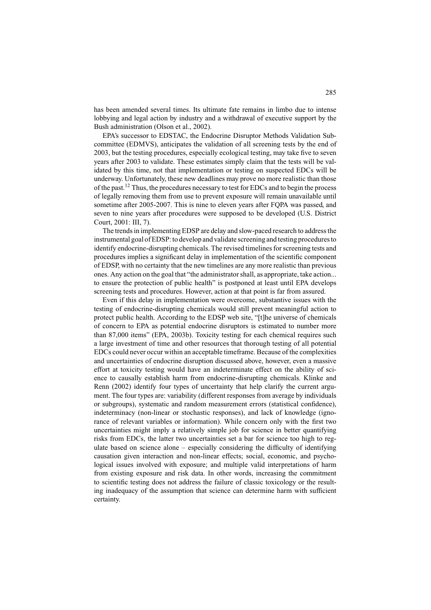has been amended several times. Its ultimate fate remains in limbo due to intense lobbying and legal action by industry and a withdrawal of executive support by the Bush administration (Olson et al., 2002).

EPA's successor to EDSTAC, the Endocrine Disruptor Methods Validation Subcommittee (EDMVS), anticipates the validation of all screening tests by the end of 2003, but the testing procedures, especially ecological testing, may take five to seven years after 2003 to validate. These estimates simply claim that the tests will be validated by this time, not that implementation or testing on suspected EDCs will be underway. Unfortunately, these new deadlines may prove no more realistic than those of the past.12 Thus, the procedures necessary to test for EDCs and to begin the process of legally removing them from use to prevent exposure will remain unavailable until sometime after 2005-2007. This is nine to eleven years after FQPA was passed, and seven to nine years after procedures were supposed to be developed (U.S. District Court, 2001: III, 7).

The trends in implementing EDSP are delay and slow-paced research to address the instrumental goal of EDSP: to develop and validate screening and testing procedures to identify endocrine-disrupting chemicals. The revised timelines for screening tests and procedures implies a significant delay in implementation of the scientific component of EDSP, with no certainty that the new timelines are any more realistic than previous ones. Any action on the goal that "the administrator shall, as appropriate, take action... to ensure the protection of public health" is postponed at least until EPA develops screening tests and procedures. However, action at that point is far from assured.

Even if this delay in implementation were overcome, substantive issues with the testing of endocrine-disrupting chemicals would still prevent meaningful action to protect public health. According to the EDSP web site, "[t]he universe of chemicals of concern to EPA as potential endocrine disruptors is estimated to number more than 87,000 items" (EPA, 2003b). Toxicity testing for each chemical requires such a large investment of time and other resources that thorough testing of all potential EDCs could never occur within an acceptable timeframe. Because of the complexities and uncertainties of endocrine disruption discussed above, however, even a massive effort at toxicity testing would have an indeterminate effect on the ability of science to causally establish harm from endocrine-disrupting chemicals. Klinke and Renn (2002) identify four types of uncertainty that help clarify the current argument. The four types are: variability (different responses from average by individuals or subgroups), systematic and random measurement errors (statistical confidence), indeterminacy (non-linear or stochastic responses), and lack of knowledge (ignorance of relevant variables or information). While concern only with the first two uncertainties might imply a relatively simple job for science in better quantifying risks from EDCs, the latter two uncertainties set a bar for science too high to regulate based on science alone – especially considering the difficulty of identifying causation given interaction and non-linear effects; social, economic, and psychological issues involved with exposure; and multiple valid interpretations of harm from existing exposure and risk data. In other words, increasing the commitment to scientific testing does not address the failure of classic toxicology or the resulting inadequacy of the assumption that science can determine harm with sufficient certainty.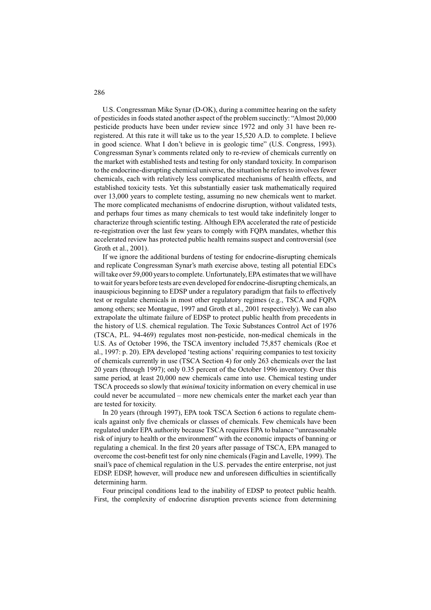U.S. Congressman Mike Synar (D-OK), during a committee hearing on the safety of pesticides in foods stated another aspect of the problem succinctly: "Almost 20,000 pesticide products have been under review since 1972 and only 31 have been reregistered. At this rate it will take us to the year 15,520 A.D. to complete. I believe in good science. What I don't believe in is geologic time" (U.S. Congress, 1993). Congressman Synar's comments related only to re-review of chemicals currently on the market with established tests and testing for only standard toxicity. In comparison to the endocrine-disrupting chemical universe, the situation he refers to involves fewer chemicals, each with relatively less complicated mechanisms of health effects, and established toxicity tests. Yet this substantially easier task mathematically required over 13,000 years to complete testing, assuming no new chemicals went to market. The more complicated mechanisms of endocrine disruption, without validated tests, and perhaps four times as many chemicals to test would take indefinitely longer to characterize through scientific testing. Although EPA accelerated the rate of pesticide re-registration over the last few years to comply with FQPA mandates, whether this accelerated review has protected public health remains suspect and controversial (see Groth et al., 2001).

If we ignore the additional burdens of testing for endocrine-disrupting chemicals and replicate Congressman Synar's math exercise above, testing all potential EDCs will take over 59,000 years to complete. Unfortunately, EPA estimates that we will have to wait for years before tests are even developed for endocrine-disrupting chemicals, an inauspicious beginning to EDSP under a regulatory paradigm that fails to effectively test or regulate chemicals in most other regulatory regimes (e.g., TSCA and FQPA among others; see Montague, 1997 and Groth et al., 2001 respectively). We can also extrapolate the ultimate failure of EDSP to protect public health from precedents in the history of U.S. chemical regulation. The Toxic Substances Control Act of 1976 (TSCA, P.L. 94-469) regulates most non-pesticide, non-medical chemicals in the U.S. As of October 1996, the TSCA inventory included 75,857 chemicals (Roe et al., 1997: p. 20). EPA developed 'testing actions' requiring companies to test toxicity of chemicals currently in use (TSCA Section 4) for only 263 chemicals over the last 20 years (through 1997); only 0.35 percent of the October 1996 inventory. Over this same period, at least 20,000 new chemicals came into use. Chemical testing under TSCA proceeds so slowly that *minimal* toxicity information on every chemical in use could never be accumulated – more new chemicals enter the market each year than are tested for toxicity.

In 20 years (through 1997), EPA took TSCA Section 6 actions to regulate chemicals against only five chemicals or classes of chemicals. Few chemicals have been regulated under EPA authority because TSCA requires EPA to balance "unreasonable risk of injury to health or the environment" with the economic impacts of banning or regulating a chemical. In the first 20 years after passage of TSCA, EPA managed to overcome the cost-benefit test for only nine chemicals (Fagin and Lavelle, 1999). The snail's pace of chemical regulation in the U.S. pervades the entire enterprise, not just EDSP. EDSP, however, will produce new and unforeseen difficulties in scientifically determining harm.

Four principal conditions lead to the inability of EDSP to protect public health. First, the complexity of endocrine disruption prevents science from determining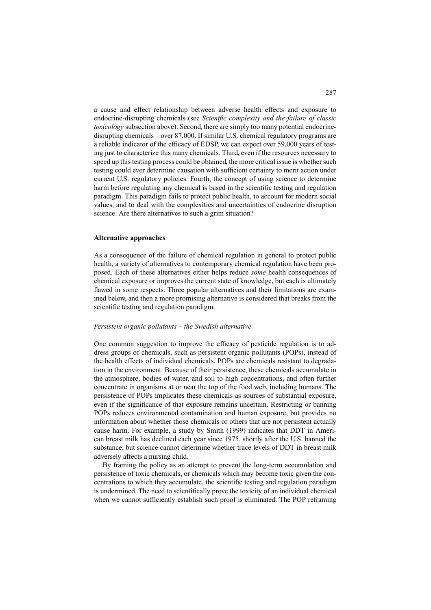a cause and effect relationship between adverse health effects and exposure to endocrine-disrupting chemicals (see *Scientfic complexity and the failure of classic toxicology* subsection above). Second, there are simply too many potential endocrinedisrupting chemicals – over 87,000. If similar U.S. chemical regulatory programs are a reliable indicator of the efficacy of EDSP, we can expect over 59,000 years of testing just to characterize this many chemicals. Third, even if the resources necessary to speed up this testing process could be obtained, the more critical issue is whether such testing could ever determine causation with sufficient certainty to merit action under current U.S. regulatory policies. Fourth, the concept of using science to determine harm before regulating any chemical is based in the scientific testing and regulation paradigm. This paradigm fails to protect public health, to account for modern social values, and to deal with the complexities and uncertainties of endocrine disruption science. Are there alternatives to such a grim situation?

#### **Alternative approaches**

As a consequence of the failure of chemical regulation in general to protect public health, a variety of alternatives to contemporary chemical regulation have been proposed. Each of these alternatives either helps reduce *some* health consequences of chemical exposure or improves the current state of knowledge, but each is ultimately flawed in some respects. Three popular alternatives and their limitations are examined below, and then a more promising alternative is considered that breaks from the scientific testing and regulation paradigm.

#### *Persistent organic pollutants – the Swedish alternative*

One common suggestion to improve the efficacy of pesticide regulation is to address groups of chemicals, such as persistent organic pollutants (POPs), instead of the health effects of individual chemicals. POPs are chemicals resistant to degradation in the environment. Because of their persistence, these chemicals accumulate in the atmosphere, bodies of water, and soil to high concentrations, and often further concentrate in organisms at or near the top of the food web, including humans. The persistence of POPs implicates these chemicals as sources of substantial exposure, even if the significance of that exposure remains uncertain. Restricting or banning POPs reduces environmental contamination and human exposure, but provides no information about whether those chemicals or others that are not persistent actually cause harm. For example, a study by Smith (1999) indicates that DDT in American breast milk has declined each year since 1975, shortly after the U.S. banned the substance, but science cannot determine whether trace levels of DDT in breast milk adversely affects a nursing child.

By framing the policy as an attempt to prevent the long-term accumulation and persistence of toxic chemicals, or chemicals which may become toxic given the concentrations to which they accumulate, the scientific testing and regulation paradigm is undermined. The need to scientifically prove the toxicity of an individual chemical when we cannot sufficiently establish such proof is eliminated. The POP reframing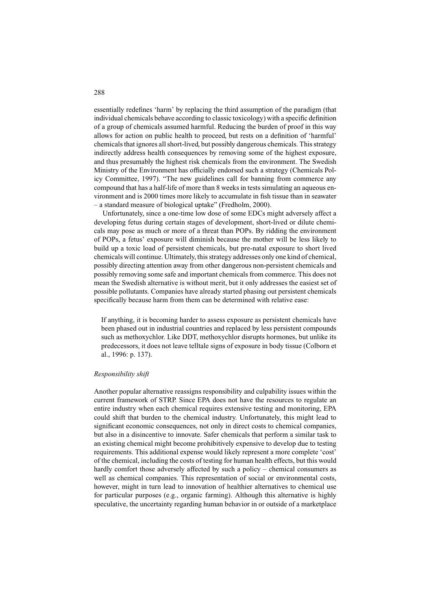essentially redefines 'harm' by replacing the third assumption of the paradigm (that individual chemicals behave according to classic toxicology) with a specific definition of a group of chemicals assumed harmful. Reducing the burden of proof in this way allows for action on public health to proceed, but rests on a definition of 'harmful' chemicals that ignores all short-lived, but possibly dangerous chemicals. This strategy indirectly address health consequences by removing some of the highest exposure, and thus presumably the highest risk chemicals from the environment. The Swedish Ministry of the Environment has officially endorsed such a strategy (Chemicals Policy Committee, 1997). "The new guidelines call for banning from commerce any compound that has a half-life of more than 8 weeks in tests simulating an aqueous environment and is 2000 times more likely to accumulate in fish tissue than in seawater – a standard measure of biological uptake" (Fredholm, 2000).

Unfortunately, since a one-time low dose of some EDCs might adversely affect a developing fetus during certain stages of development, short-lived or dilute chemicals may pose as much or more of a threat than POPs. By ridding the environment of POPs, a fetus' exposure will diminish because the mother will be less likely to build up a toxic load of persistent chemicals, but pre-natal exposure to short lived chemicals will continue. Ultimately, this strategy addresses only one kind of chemical, possibly directing attention away from other dangerous non-persistent chemicals and possibly removing some safe and important chemicals from commerce. This does not mean the Swedish alternative is without merit, but it only addresses the easiest set of possible pollutants. Companies have already started phasing out persistent chemicals specifically because harm from them can be determined with relative ease:

If anything, it is becoming harder to assess exposure as persistent chemicals have been phased out in industrial countries and replaced by less persistent compounds such as methoxychlor. Like DDT, methoxychlor disrupts hormones, but unlike its predecessors, it does not leave telltale signs of exposure in body tissue (Colborn et al., 1996: p. 137).

## *Responsibility shift*

Another popular alternative reassigns responsibility and culpability issues within the current framework of STRP. Since EPA does not have the resources to regulate an entire industry when each chemical requires extensive testing and monitoring, EPA could shift that burden to the chemical industry. Unfortunately, this might lead to significant economic consequences, not only in direct costs to chemical companies, but also in a disincentive to innovate. Safer chemicals that perform a similar task to an existing chemical might become prohibitively expensive to develop due to testing requirements. This additional expense would likely represent a more complete 'cost' of the chemical, including the costs of testing for human health effects, but this would hardly comfort those adversely affected by such a policy – chemical consumers as well as chemical companies. This representation of social or environmental costs, however, might in turn lead to innovation of healthier alternatives to chemical use for particular purposes (e.g., organic farming). Although this alternative is highly speculative, the uncertainty regarding human behavior in or outside of a marketplace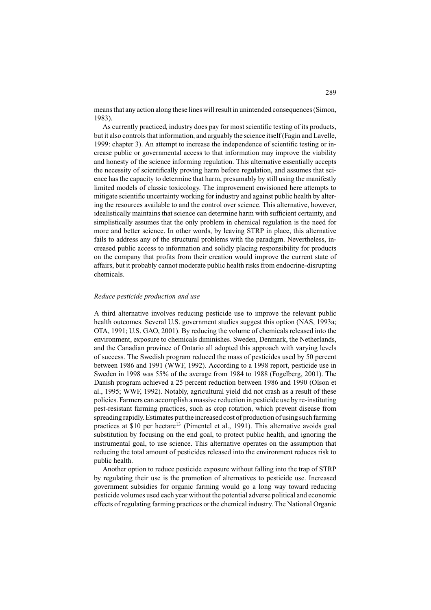means that any action along these lines will result in unintended consequences (Simon, 1983).

As currently practiced, industry does pay for most scientific testing of its products, but it also controls that information, and arguably the science itself (Fagin and Lavelle, 1999: chapter 3). An attempt to increase the independence of scientific testing or increase public or governmental access to that information may improve the viability and honesty of the science informing regulation. This alternative essentially accepts the necessity of scientifically proving harm before regulation, and assumes that science has the capacity to determine that harm, presumably by still using the manifestly limited models of classic toxicology. The improvement envisioned here attempts to mitigate scientific uncertainty working for industry and against public health by altering the resources available to and the control over science. This alternative, however, idealistically maintains that science can determine harm with sufficient certainty, and simplistically assumes that the only problem in chemical regulation is the need for more and better science. In other words, by leaving STRP in place, this alternative fails to address any of the structural problems with the paradigm. Nevertheless, increased public access to information and solidly placing responsibility for products on the company that profits from their creation would improve the current state of affairs, but it probably cannot moderate public health risks from endocrine-disrupting chemicals.

## *Reduce pesticide production and use*

A third alternative involves reducing pesticide use to improve the relevant public health outcomes. Several U.S. government studies suggest this option (NAS, 1993a; OTA, 1991; U.S. GAO, 2001). By reducing the volume of chemicals released into the environment, exposure to chemicals diminishes. Sweden, Denmark, the Netherlands, and the Canadian province of Ontario all adopted this approach with varying levels of success. The Swedish program reduced the mass of pesticides used by 50 percent between 1986 and 1991 (WWF, 1992). According to a 1998 report, pesticide use in Sweden in 1998 was 55% of the average from 1984 to 1988 (Fogelberg, 2001). The Danish program achieved a 25 percent reduction between 1986 and 1990 (Olson et al., 1995; WWF, 1992). Notably, agricultural yield did not crash as a result of these policies. Farmers can accomplish a massive reduction in pesticide use by re-instituting pest-resistant farming practices, such as crop rotation, which prevent disease from spreading rapidly. Estimates put the increased cost of production of using such farming practices at \$10 per hectare<sup>13</sup> (Pimentel et al., 1991). This alternative avoids goal substitution by focusing on the end goal, to protect public health, and ignoring the instrumental goal, to use science. This alternative operates on the assumption that reducing the total amount of pesticides released into the environment reduces risk to public health.

Another option to reduce pesticide exposure without falling into the trap of STRP by regulating their use is the promotion of alternatives to pesticide use. Increased government subsidies for organic farming would go a long way toward reducing pesticide volumes used each year without the potential adverse political and economic effects of regulating farming practices or the chemical industry. The National Organic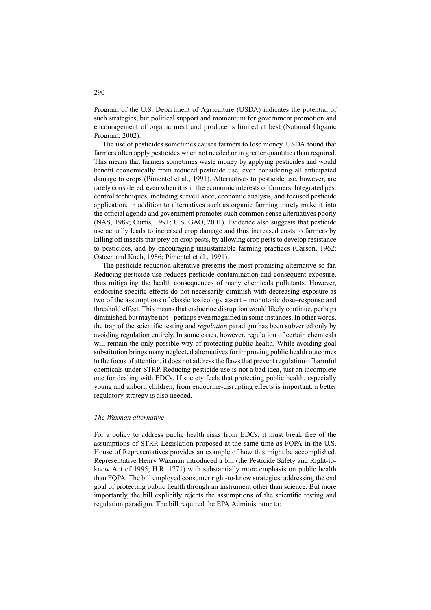Program of the U.S. Department of Agriculture (USDA) indicates the potential of such strategies, but political support and momentum for government promotion and encouragement of organic meat and produce is limited at best (National Organic Program, 2002).

The use of pesticides sometimes causes farmers to lose money. USDA found that farmers often apply pesticides when not needed or in greater quantities than required. This means that farmers sometimes waste money by applying pesticides and would benefit economically from reduced pesticide use, even considering all anticipated damage to crops (Pimentel et al., 1991). Alternatives to pesticide use, however, are rarely considered, even when it is in the economic interests of farmers. Integrated pest control techniques, including surveillance, economic analysis, and focused pesticide application, in addition to alternatives such as organic farming, rarely make it into the official agenda and government promotes such common sense alternatives poorly (NAS, 1989; Curtis, 1991; U.S. GAO, 2001). Evidence also suggests that pesticide use actually leads to increased crop damage and thus increased costs to farmers by killing off insects that prey on crop pests, by allowing crop pests to develop resistance to pesticides, and by encouraging unsustainable farming practices (Carson, 1962; Osteen and Kuch, 1986; Pimentel et al., 1991).

The pesticide reduction alterative presents the most promising alternative so far. Reducing pesticide use reduces pesticide contamination and consequent exposure, thus mitigating the health consequences of many chemicals pollutants. However, endocrine specific effects do not necessarily diminish with decreasing exposure as two of the assumptions of classic toxicology assert – monotonic dose–response and threshold effect. This means that endocrine disruption would likely continue, perhaps diminished, but maybe not – perhaps even magnified in some instances. In other words, the trap of the scientific testing and *regulation* paradigm has been subverted only by avoiding regulation entirely. In some cases, however, regulation of certain chemicals will remain the only possible way of protecting public health. While avoiding goal substitution brings many neglected alternatives for improving public health outcomes to the focus of attention, it does not address the flaws that prevent regulation of harmful chemicals under STRP. Reducing pesticide use is not a bad idea, just an incomplete one for dealing with EDCs. If society feels that protecting public health, especially young and unborn children, from endocrine-disrupting effects is important, a better regulatory strategy is also needed.

# *The Waxman alternative*

For a policy to address public health risks from EDCs, it must break free of the assumptions of STRP. Legislation proposed at the same time as FQPA in the U.S. House of Representatives provides an example of how this might be accomplished. Representative Henry Waxman introduced a bill (the Pesticide Safety and Right-toknow Act of 1995, H.R. 1771) with substantially more emphasis on public health than FQPA. The bill employed consumer right-to-know strategies, addressing the end goal of protecting public health through an instrument other than science. But more importantly, the bill explicitly rejects the assumptions of the scientific testing and regulation paradigm. The bill required the EPA Administrator to: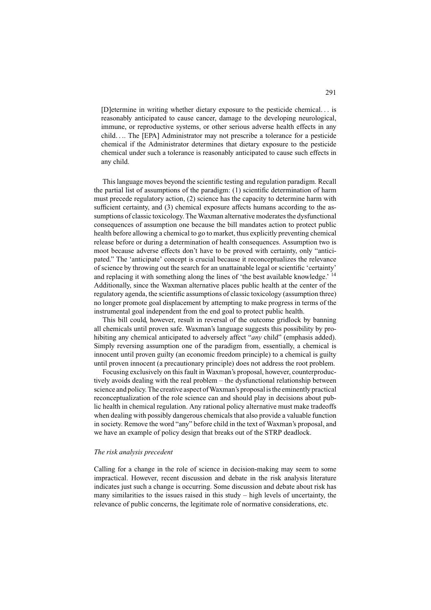[D]etermine in writing whether dietary exposure to the pesticide chemical... is reasonably anticipated to cause cancer, damage to the developing neurological, immune, or reproductive systems, or other serious adverse health effects in any child.... The [EPA] Administrator may not prescribe a tolerance for a pesticide chemical if the Administrator determines that dietary exposure to the pesticide chemical under such a tolerance is reasonably anticipated to cause such effects in any child.

This language moves beyond the scientific testing and regulation paradigm. Recall the partial list of assumptions of the paradigm: (1) scientific determination of harm must precede regulatory action, (2) science has the capacity to determine harm with sufficient certainty, and (3) chemical exposure affects humans according to the assumptions of classic toxicology. The Waxman alternative moderates the dysfunctional consequences of assumption one because the bill mandates action to protect public health before allowing a chemical to go to market, thus explicitly preventing chemical release before or during a determination of health consequences. Assumption two is moot because adverse effects don't have to be proved with certainty, only "anticipated." The 'anticipate' concept is crucial because it reconceptualizes the relevance of science by throwing out the search for an unattainable legal or scientific 'certainty' and replacing it with something along the lines of 'the best available knowledge.' <sup>14</sup> Additionally, since the Waxman alternative places public health at the center of the regulatory agenda, the scientific assumptions of classic toxicology (assumption three) no longer promote goal displacement by attempting to make progress in terms of the instrumental goal independent from the end goal to protect public health.

This bill could, however, result in reversal of the outcome gridlock by banning all chemicals until proven safe. Waxman's language suggests this possibility by prohibiting any chemical anticipated to adversely affect "*any* child" (emphasis added). Simply reversing assumption one of the paradigm from, essentially, a chemical is innocent until proven guilty (an economic freedom principle) to a chemical is guilty until proven innocent (a precautionary principle) does not address the root problem.

Focusing exclusively on this fault in Waxman's proposal, however, counterproductively avoids dealing with the real problem – the dysfunctional relationship between science and policy. The creative aspect of Waxman's proposal is the eminently practical reconceptualization of the role science can and should play in decisions about public health in chemical regulation. Any rational policy alternative must make tradeoffs when dealing with possibly dangerous chemicals that also provide a valuable function in society. Remove the word "any" before child in the text of Waxman's proposal, and we have an example of policy design that breaks out of the STRP deadlock.

## *The risk analysis precedent*

Calling for a change in the role of science in decision-making may seem to some impractical. However, recent discussion and debate in the risk analysis literature indicates just such a change is occurring. Some discussion and debate about risk has many similarities to the issues raised in this study  $-$  high levels of uncertainty, the relevance of public concerns, the legitimate role of normative considerations, etc.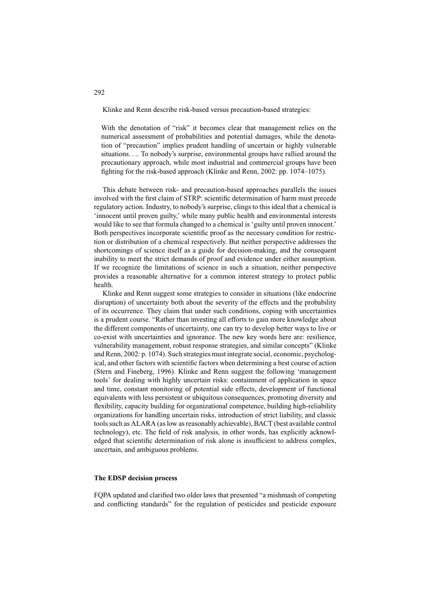Klinke and Renn describe risk-based versus precaution-based strategies:

With the denotation of "risk" it becomes clear that management relies on the numerical assessment of probabilities and potential damages, while the denotation of "precaution" implies prudent handling of uncertain or highly vulnerable situations.... To nobody's surprise, environmental groups have rallied around the precautionary approach, while most industrial and commercial groups have been fighting for the risk-based approach (Klinke and Renn, 2002: pp. 1074–1075).

This debate between risk- and precaution-based approaches parallels the issues involved with the first claim of STRP: scientific determination of harm must precede regulatory action. Industry, to nobody's surprise, clings to this ideal that a chemical is 'innocent until proven guilty,' while many public health and environmental interests would like to see that formula changed to a chemical is 'guilty until proven innocent.' Both perspectives incorporate scientific proof as the necessary condition for restriction or distribution of a chemical respectively. But neither perspective addresses the shortcomings of science itself as a guide for decision-making, and the consequent inability to meet the strict demands of proof and evidence under either assumption. If we recognize the limitations of science in such a situation, neither perspective provides a reasonable alternative for a common interest strategy to protect public health.

Klinke and Renn suggest some strategies to consider in situations (like endocrine disruption) of uncertainty both about the severity of the effects and the probability of its occurrence. They claim that under such conditions, coping with uncertainties is a prudent course. "Rather than investing all efforts to gain more knowledge about the different components of uncertainty, one can try to develop better ways to live or co-exist with uncertainties and ignorance. The new key words here are: resilience, vulnerability management, robust response strategies, and similar concepts" (Klinke and Renn, 2002: p. 1074). Such strategies must integrate social, economic, psychological, and other factors with scientific factors when determining a best course of action (Stern and Fineberg, 1996). Klinke and Renn suggest the following 'management tools' for dealing with highly uncertain risks: containment of application in space and time, constant monitoring of potential side effects, development of functional equivalents with less persistent or ubiquitous consequences, promoting diversity and flexibility, capacity building for organizational competence, building high-reliability organizations for handling uncertain risks, introduction of strict liability, and classic tools such as ALARA (as low as reasonably achievable), BACT (best available control technology), etc. The field of risk analysis, in other words, has explicitly acknowledged that scientific determination of risk alone is insufficient to address complex, uncertain, and ambiguous problems.

# **The EDSP decision process**

FQPA updated and clarified two older laws that presented "a mishmash of competing and conflicting standards" for the regulation of pesticides and pesticide exposure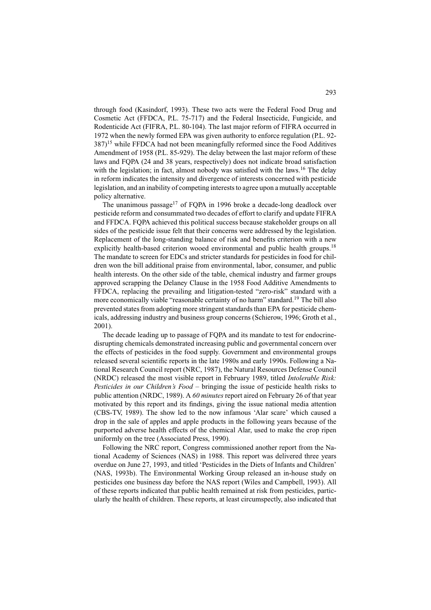through food (Kasindorf, 1993). These two acts were the Federal Food Drug and Cosmetic Act (FFDCA, P.L. 75-717) and the Federal Insecticide, Fungicide, and Rodenticide Act (FIFRA, P.L. 80-104). The last major reform of FIFRA occurred in 1972 when the newly formed EPA was given authority to enforce regulation (P.L. 92-  $387$ <sup>15</sup> while FFDCA had not been meaningfully reformed since the Food Additives Amendment of 1958 (P.L. 85-929). The delay between the last major reform of these laws and FQPA (24 and 38 years, respectively) does not indicate broad satisfaction with the legislation; in fact, almost nobody was satisfied with the laws.<sup>16</sup> The delay in reform indicates the intensity and divergence of interests concerned with pesticide legislation, and an inability of competing interests to agree upon a mutually acceptable policy alternative.

The unanimous passage<sup>17</sup> of FQPA in 1996 broke a decade-long deadlock over pesticide reform and consummated two decades of effort to clarify and update FIFRA and FFDCA. FQPA achieved this political success because stakeholder groups on all sides of the pesticide issue felt that their concerns were addressed by the legislation. Replacement of the long-standing balance of risk and benefits criterion with a new explicitly health-based criterion wooed environmental and public health groups.<sup>18</sup> The mandate to screen for EDCs and stricter standards for pesticides in food for children won the bill additional praise from environmental, labor, consumer, and public health interests. On the other side of the table, chemical industry and farmer groups approved scrapping the Delaney Clause in the 1958 Food Additive Amendments to FFDCA, replacing the prevailing and litigation-tested "zero-risk" standard with a more economically viable "reasonable certainty of no harm" standard.<sup>19</sup> The bill also prevented states from adopting more stringent standards than EPA for pesticide chemicals, addressing industry and business group concerns (Schierow, 1996; Groth et al., 2001).

The decade leading up to passage of FQPA and its mandate to test for endocrinedisrupting chemicals demonstrated increasing public and governmental concern over the effects of pesticides in the food supply. Government and environmental groups released several scientific reports in the late 1980s and early 1990s. Following a National Research Council report (NRC, 1987), the Natural Resources Defense Council (NRDC) released the most visible report in February 1989, titled *Intolerable Risk: Pesticides in our Children's Food* – bringing the issue of pesticide health risks to public attention (NRDC, 1989). A *60 minutes* report aired on February 26 of that year motivated by this report and its findings, giving the issue national media attention (CBS-TV, 1989). The show led to the now infamous 'Alar scare' which caused a drop in the sale of apples and apple products in the following years because of the purported adverse health effects of the chemical Alar, used to make the crop ripen uniformly on the tree (Associated Press, 1990).

Following the NRC report, Congress commissioned another report from the National Academy of Sciences (NAS) in 1988. This report was delivered three years overdue on June 27, 1993, and titled 'Pesticides in the Diets of Infants and Children' (NAS, 1993b). The Environmental Working Group released an in-house study on pesticides one business day before the NAS report (Wiles and Campbell, 1993). All of these reports indicated that public health remained at risk from pesticides, particularly the health of children. These reports, at least circumspectly, also indicated that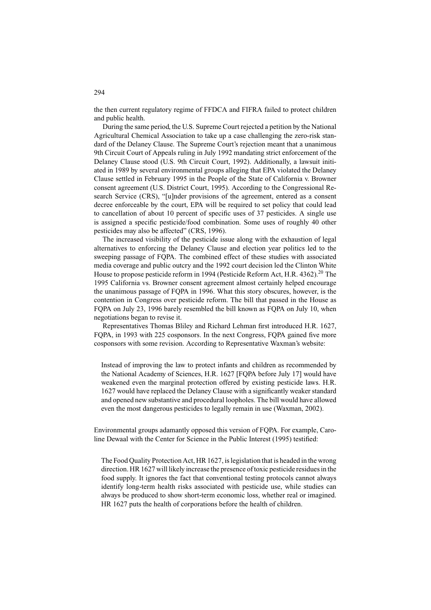the then current regulatory regime of FFDCA and FIFRA failed to protect children and public health.

During the same period, the U.S. Supreme Court rejected a petition by the National Agricultural Chemical Association to take up a case challenging the zero-risk standard of the Delaney Clause. The Supreme Court's rejection meant that a unanimous 9th Circuit Court of Appeals ruling in July 1992 mandating strict enforcement of the Delaney Clause stood (U.S. 9th Circuit Court, 1992). Additionally, a lawsuit initiated in 1989 by several environmental groups alleging that EPA violated the Delaney Clause settled in February 1995 in the People of the State of California v. Browner consent agreement (U.S. District Court, 1995). According to the Congressional Research Service (CRS), "[u]nder provisions of the agreement, entered as a consent decree enforceable by the court, EPA will be required to set policy that could lead to cancellation of about 10 percent of specific uses of 37 pesticides. A single use is assigned a specific pesticide/food combination. Some uses of roughly 40 other pesticides may also be affected" (CRS, 1996).

The increased visibility of the pesticide issue along with the exhaustion of legal alternatives to enforcing the Delaney Clause and election year politics led to the sweeping passage of FQPA. The combined effect of these studies with associated media coverage and public outcry and the 1992 court decision led the Clinton White House to propose pesticide reform in 1994 (Pesticide Reform Act, H.R. 4362).<sup>20</sup> The 1995 California vs. Browner consent agreement almost certainly helped encourage the unanimous passage of FQPA in 1996. What this story obscures, however, is the contention in Congress over pesticide reform. The bill that passed in the House as FQPA on July 23, 1996 barely resembled the bill known as FQPA on July 10, when negotiations began to revise it.

Representatives Thomas Bliley and Richard Lehman first introduced H.R. 1627, FQPA, in 1993 with 225 cosponsors. In the next Congress, FQPA gained five more cosponsors with some revision. According to Representative Waxman's website:

Instead of improving the law to protect infants and children as recommended by the National Academy of Sciences, H.R. 1627 [FQPA before July 17] would have weakened even the marginal protection offered by existing pesticide laws. H.R. 1627 would have replaced the Delaney Clause with a significantly weaker standard and opened new substantive and procedural loopholes. The bill would have allowed even the most dangerous pesticides to legally remain in use (Waxman, 2002).

Environmental groups adamantly opposed this version of FQPA. For example, Caroline Dewaal with the Center for Science in the Public Interest (1995) testified:

The Food Quality Protection Act, HR 1627, is legislation that is headed in the wrong direction. HR 1627 will likely increase the presence of toxic pesticide residues in the food supply. It ignores the fact that conventional testing protocols cannot always identify long-term health risks associated with pesticide use, while studies can always be produced to show short-term economic loss, whether real or imagined. HR 1627 puts the health of corporations before the health of children.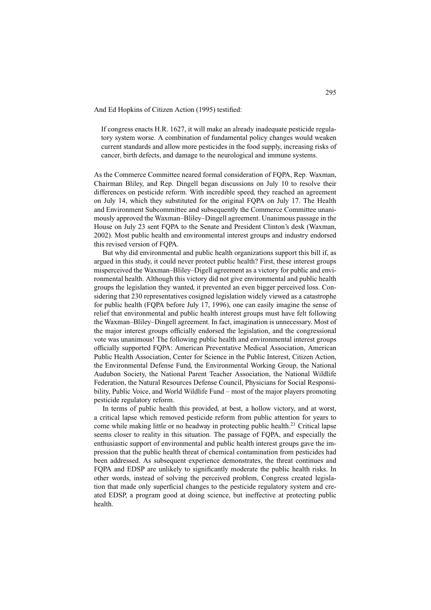And Ed Hopkins of Citizen Action (1995) testified:

If congress enacts H.R. 1627, it will make an already inadequate pesticide regulatory system worse. A combination of fundamental policy changes would weaken current standards and allow more pesticides in the food supply, increasing risks of cancer, birth defects, and damage to the neurological and immune systems.

As the Commerce Committee neared formal consideration of FQPA, Rep. Waxman, Chairman Bliley, and Rep. Dingell began discussions on July 10 to resolve their differences on pesticide reform. With incredible speed, they reached an agreement on July 14, which they substituted for the original FQPA on July 17. The Health and Environment Subcommittee and subsequently the Commerce Committee unanimously approved the Waxman–Bliley–Dingell agreement. Unanimous passage in the House on July 23 sent FQPA to the Senate and President Clinton's desk (Waxman, 2002). Most public health and environmental interest groups and industry endorsed this revised version of FQPA.

But why did environmental and public health organizations support this bill if, as argued in this study, it could never protect public health? First, these interest groups misperceived the Waxman–Bliley–Digell agreement as a victory for public and environmental health. Although this victory did not give environmental and public health groups the legislation they wanted, it prevented an even bigger perceived loss. Considering that 230 representatives cosigned legislation widely viewed as a catastrophe for public health (FQPA before July 17, 1996), one can easily imagine the sense of relief that environmental and public health interest groups must have felt following the Waxman–Bliley–Dingell agreement. In fact, imagination is unnecessary. Most of the major interest groups officially endorsed the legislation, and the congressional vote was unanimous! The following public health and environmental interest groups officially supported FQPA: American Preventative Medical Association, American Public Health Association, Center for Science in the Public Interest, Citizen Action, the Environmental Defense Fund, the Environmental Working Group, the National Audubon Society, the National Parent Teacher Association, the National Wildlife Federation, the Natural Resources Defense Council, Physicians for Social Responsibility, Public Voice, and World Wildlife Fund – most of the major players promoting pesticide regulatory reform.

In terms of public health this provided, at best, a hollow victory, and at worst, a critical lapse which removed pesticide reform from public attention for years to come while making little or no headway in protecting public health.<sup>21</sup> Critical lapse seems closer to reality in this situation. The passage of FQPA, and especially the enthusiastic support of environmental and public health interest groups gave the impression that the public health threat of chemical contamination from pesticides had been addressed. As subsequent experience demonstrates, the threat continues and FQPA and EDSP are unlikely to significantly moderate the public health risks. In other words, instead of solving the perceived problem, Congress created legislation that made only superficial changes to the pesticide regulatory system and created EDSP, a program good at doing science, but ineffective at protecting public health.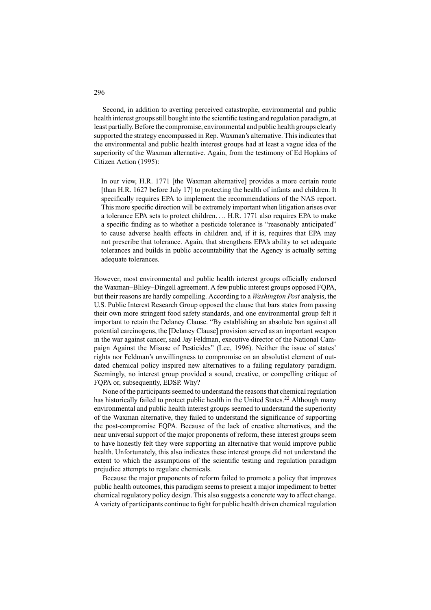Second, in addition to averting perceived catastrophe, environmental and public health interest groups still bought into the scientific testing and regulation paradigm, at least partially. Before the compromise, environmental and public health groups clearly supported the strategy encompassed in Rep. Waxman's alternative. This indicates that the environmental and public health interest groups had at least a vague idea of the superiority of the Waxman alternative. Again, from the testimony of Ed Hopkins of Citizen Action (1995):

In our view, H.R. 1771 [the Waxman alternative] provides a more certain route [than H.R. 1627 before July 17] to protecting the health of infants and children. It specifically requires EPA to implement the recommendations of the NAS report. This more specific direction will be extremely important when litigation arises over a tolerance EPA sets to protect children.... H.R. 1771 also requires EPA to make a specific finding as to whether a pesticide tolerance is "reasonably anticipated" to cause adverse health effects in children and, if it is, requires that EPA may not prescribe that tolerance. Again, that strengthens EPA's ability to set adequate tolerances and builds in public accountability that the Agency is actually setting adequate tolerances.

However, most environmental and public health interest groups officially endorsed the Waxman–Bliley–Dingell agreement. A few public interest groups opposed FQPA, but their reasons are hardly compelling. According to a *Washington Post* analysis, the U.S. Public Interest Research Group opposed the clause that bars states from passing their own more stringent food safety standards, and one environmental group felt it important to retain the Delaney Clause. "By establishing an absolute ban against all potential carcinogens, the [Delaney Clause] provision served as an important weapon in the war against cancer, said Jay Feldman, executive director of the National Campaign Against the Misuse of Pesticides" (Lee, 1996). Neither the issue of states' rights nor Feldman's unwillingness to compromise on an absolutist element of outdated chemical policy inspired new alternatives to a failing regulatory paradigm. Seemingly, no interest group provided a sound, creative, or compelling critique of FQPA or, subsequently, EDSP. Why?

None of the participants seemed to understand the reasons that chemical regulation has historically failed to protect public health in the United States.<sup>22</sup> Although many environmental and public health interest groups seemed to understand the superiority of the Waxman alternative, they failed to understand the significance of supporting the post-compromise FQPA. Because of the lack of creative alternatives, and the near universal support of the major proponents of reform, these interest groups seem to have honestly felt they were supporting an alternative that would improve public health. Unfortunately, this also indicates these interest groups did not understand the extent to which the assumptions of the scientific testing and regulation paradigm prejudice attempts to regulate chemicals.

Because the major proponents of reform failed to promote a policy that improves public health outcomes, this paradigm seems to present a major impediment to better chemical regulatory policy design. This also suggests a concrete way to affect change. A variety of participants continue to fight for public health driven chemical regulation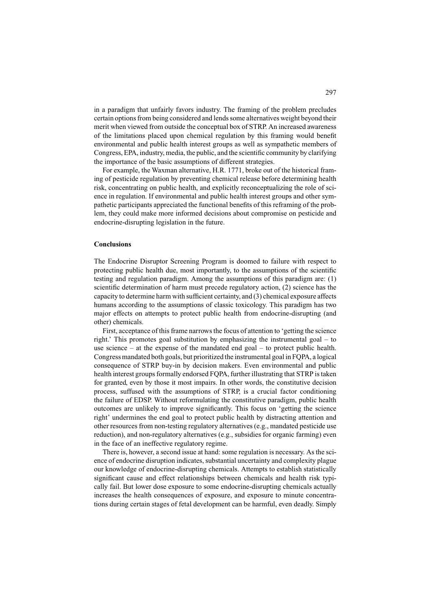in a paradigm that unfairly favors industry. The framing of the problem precludes certain options from being considered and lends some alternatives weight beyond their merit when viewed from outside the conceptual box of STRP. An increased awareness of the limitations placed upon chemical regulation by this framing would benefit environmental and public health interest groups as well as sympathetic members of Congress, EPA, industry, media, the public, and the scientific community by clarifying the importance of the basic assumptions of different strategies.

For example, the Waxman alternative, H.R. 1771, broke out of the historical framing of pesticide regulation by preventing chemical release before determining health risk, concentrating on public health, and explicitly reconceptualizing the role of science in regulation. If environmental and public health interest groups and other sympathetic participants appreciated the functional benefits of this reframing of the problem, they could make more informed decisions about compromise on pesticide and endocrine-disrupting legislation in the future.

## **Conclusions**

The Endocrine Disruptor Screening Program is doomed to failure with respect to protecting public health due, most importantly, to the assumptions of the scientific testing and regulation paradigm. Among the assumptions of this paradigm are: (1) scientific determination of harm must precede regulatory action, (2) science has the capacity to determine harm with sufficient certainty, and (3) chemical exposure affects humans according to the assumptions of classic toxicology. This paradigm has two major effects on attempts to protect public health from endocrine-disrupting (and other) chemicals.

First, acceptance of this frame narrows the focus of attention to 'getting the science right.' This promotes goal substitution by emphasizing the instrumental goal – to use science  $-$  at the expense of the mandated end goal  $-$  to protect public health. Congress mandated both goals, but prioritized the instrumental goal in FQPA, a logical consequence of STRP buy-in by decision makers. Even environmental and public health interest groups formally endorsed FQPA, further illustrating that STRP is taken for granted, even by those it most impairs. In other words, the constitutive decision process, suffused with the assumptions of STRP, is a crucial factor conditioning the failure of EDSP. Without reformulating the constitutive paradigm, public health outcomes are unlikely to improve significantly. This focus on 'getting the science right' undermines the end goal to protect public health by distracting attention and other resources from non-testing regulatory alternatives (e.g., mandated pesticide use reduction), and non-regulatory alternatives (e.g., subsidies for organic farming) even in the face of an ineffective regulatory regime.

There is, however, a second issue at hand: some regulation is necessary. As the science of endocrine disruption indicates, substantial uncertainty and complexity plague our knowledge of endocrine-disrupting chemicals. Attempts to establish statistically significant cause and effect relationships between chemicals and health risk typically fail. But lower dose exposure to some endocrine-disrupting chemicals actually increases the health consequences of exposure, and exposure to minute concentrations during certain stages of fetal development can be harmful, even deadly. Simply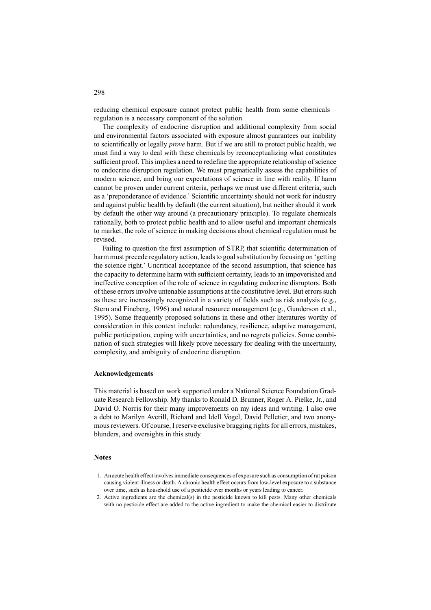reducing chemical exposure cannot protect public health from some chemicals – regulation is a necessary component of the solution.

The complexity of endocrine disruption and additional complexity from social and environmental factors associated with exposure almost guarantees our inability to scientifically or legally *prove* harm. But if we are still to protect public health, we must find a way to deal with these chemicals by reconceptualizing what constitutes sufficient proof. This implies a need to redefine the appropriate relationship of science to endocrine disruption regulation. We must pragmatically assess the capabilities of modern science, and bring our expectations of science in line with reality. If harm cannot be proven under current criteria, perhaps we must use different criteria, such as a 'preponderance of evidence.' Scientific uncertainty should not work for industry and against public health by default (the current situation), but neither should it work by default the other way around (a precautionary principle). To regulate chemicals rationally, both to protect public health and to allow useful and important chemicals to market, the role of science in making decisions about chemical regulation must be revised.

Failing to question the first assumption of STRP, that scientific determination of harm must precede regulatory action, leads to goal substitution by focusing on 'getting the science right.' Uncritical acceptance of the second assumption, that science has the capacity to determine harm with sufficient certainty, leads to an impoverished and ineffective conception of the role of science in regulating endocrine disruptors. Both of these errors involve untenable assumptions at the constitutive level. But errors such as these are increasingly recognized in a variety of fields such as risk analysis (e.g., Stern and Fineberg, 1996) and natural resource management (e.g., Gunderson et al., 1995). Some frequently proposed solutions in these and other literatures worthy of consideration in this context include: redundancy, resilience, adaptive management, public participation, coping with uncertainties, and no regrets policies. Some combination of such strategies will likely prove necessary for dealing with the uncertainty, complexity, and ambiguity of endocrine disruption.

#### **Acknowledgements**

This material is based on work supported under a National Science Foundation Graduate Research Fellowship. My thanks to Ronald D. Brunner, Roger A. Pielke, Jr., and David O. Norris for their many improvements on my ideas and writing. I also owe a debt to Marilyn Averill, Richard and Idell Vogel, David Pelletier, and two anonymous reviewers. Of course, I reserve exclusive bragging rights for all errors, mistakes, blunders, and oversights in this study.

## **Notes**

<sup>1.</sup> An acute health effect involves immediate consequences of exposure such as consumption of rat poison causing violent illness or death. A chronic health effect occurs from low-level exposure to a substance over time, such as household use of a pesticide over months or years leading to cancer.

<sup>2.</sup> Active ingredients are the chemical(s) in the pesticide known to kill pests. Many other chemicals with no pesticide effect are added to the active ingredient to make the chemical easier to distribute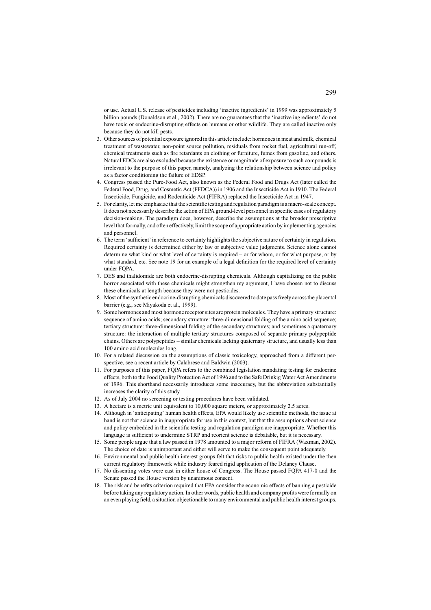or use. Actual U.S. release of pesticides including 'inactive ingredients' in 1999 was approximately 5 billion pounds (Donaldson et al., 2002). There are no guarantees that the 'inactive ingredients' do not have toxic or endocrine-disrupting effects on humans or other wildlife. They are called inactive only because they do not kill pests.

- 3. Other sources of potential exposure ignored in this article include: hormones in meat and milk, chemical treatment of wastewater, non-point source pollution, residuals from rocket fuel, agricultural run-off, chemical treatments such as fire retardants on clothing or furniture, fumes from gasoline, and others. Natural EDCs are also excluded because the existence or magnitude of exposure to such compounds is irrelevant to the purpose of this paper, namely, analyzing the relationship between science and policy as a factor conditioning the failure of EDSP.
- 4. Congress passed the Pure-Food Act, also known as the Federal Food and Drugs Act (later called the Federal Food, Drug, and Cosmetic Act (FFDCA)) in 1906 and the Insecticide Act in 1910. The Federal Insecticide, Fungicide, and Rodenticide Act (FIFRA) replaced the Insecticide Act in 1947.
- 5. For clarity, let me emphasize that the scientific testing and regulation paradigm is a macro-scale concept. It does not necessarily describe the action of EPA ground-level personnel in specific cases of regulatory decision-making. The paradigm does, however, describe the assumptions at the broader prescriptive level that formally, and often effectively, limit the scope of appropriate action by implementing agencies and personnel.
- 6. The term 'sufficient' in reference to certainty highlights the subjective nature of certainty in regulation. Required certainty is determined either by law or subjective value judgments. Science alone cannot determine what kind or what level of certainty is required – or for whom, or for what purpose, or by what standard, etc. See note 19 for an example of a legal definition for the required level of certainty under FQPA.
- 7. DES and thalidomide are both endocrine-disrupting chemicals. Although capitalizing on the public horror associated with these chemicals might strengthen my argument, I have chosen not to discuss these chemicals at length because they were not pesticides.
- 8. Most of the synthetic endocrine-disrupting chemicals discovered to date pass freely across the placental barrier (e.g., see Miyakoda et al., 1999).
- 9. Some hormones and most hormone receptor sites are protein molecules. They have a primary structure: sequence of amino acids; secondary structure: three-dimensional folding of the amino acid sequence; tertiary structure: three-dimensional folding of the secondary structures; and sometimes a quaternary structure: the interaction of multiple tertiary structures composed of separate primary polypeptide chains. Others are polypeptides – similar chemicals lacking quaternary structure, and usually less than 100 amino acid molecules long.
- 10. For a related discussion on the assumptions of classic toxicology, approached from a different perspective, see a recent article by Calabrese and Baldwin (2003).
- 11. For purposes of this paper, FQPA refers to the combined legislation mandating testing for endocrine effects, both to the Food Quality Protection Act of 1996 and to the Safe Drinkig Water Act Amendments of 1996. This shorthand necessarily introduces some inaccuracy, but the abbreviation substantially increases the clarity of this study.
- 12. As of July 2004 no screening or testing procedures have been validated.
- 13. A hectare is a metric unit equivalent to 10,000 square meters, or approximately 2.5 acres.
- 14. Although in 'anticipating' human health effects, EPA would likely use scientific methods, the issue at hand is not that science in inappropriate for use in this context, but that the assumptions about science and policy embedded in the scientific testing and regulation paradigm are inappropriate. Whether this language is sufficient to undermine STRP and reorient science is debatable, but it is necessary.
- 15. Some people argue that a law passed in 1978 amounted to a major reform of FIFRA (Waxman, 2002). The choice of date is unimportant and either will serve to make the consequent point adequately.
- 16. Environmental and public health interest groups felt that risks to public health existed under the then current regulatory framework while industry feared rigid application of the Delaney Clause.
- 17. No dissenting votes were cast in either house of Congress. The House passed FQPA 417-0 and the Senate passed the House version by unanimous consent.
- 18. The risk and benefits criterion required that EPA consider the economic effects of banning a pesticide before taking any regulatory action. In other words, public health and company profits were formally on an even playing field, a situation objectionable to many environmental and public health interest groups.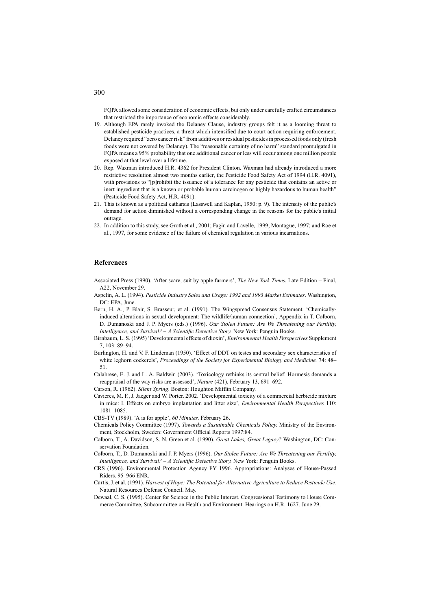FQPA allowed some consideration of economic effects, but only under carefully crafted circumstances that restricted the importance of economic effects considerably.

- 19. Although EPA rarely invoked the Delaney Clause, industry groups felt it as a looming threat to established pesticide practices, a threat which intensified due to court action requiring enforcement. Delaney required "zero cancer risk" from additives or residual pesticides in processed foods only (fresh foods were not covered by Delaney). The "reasonable certainty of no harm" standard promulgated in FQPA means a 95% probability that one additional cancer or less will occur among one million people exposed at that level over a lifetime.
- 20. Rep. Waxman introduced H.R. 4362 for President Clinton. Waxman had already introduced a more restrictive resolution almost two months earlier, the Pesticide Food Safety Act of 1994 (H.R. 4091), with provisions to "[p]rohibit the issuance of a tolerance for any pesticide that contains an active or inert ingredient that is a known or probable human carcinogen or highly hazardous to human health" (Pesticide Food Safety Act, H.R. 4091).
- 21. This is known as a political catharsis (Lasswell and Kaplan, 1950: p. 9). The intensity of the public's demand for action diminished without a corresponding change in the reasons for the public's initial outrage.
- 22. In addition to this study, see Groth et al., 2001; Fagin and Lavelle, 1999; Montague, 1997; and Roe et al., 1997, for some evidence of the failure of chemical regulation in various incarnations.

#### **References**

- Associated Press (1990). 'After scare, suit by apple farmers', *The New York Times*, Late Edition Final, A22, November 29.
- Aspelin, A. L. (1994). *Pesticide Industry Sales and Usage: 1992 and 1993 Market Estimates*. Washington, DC: EPA, June.
- Bern, H. A., P. Blair, S. Brasseur, et al. (1991). The Wingspread Consensus Statement. 'Chemicallyinduced alterations in sexual development: The wildlife/human connection', Appendix in T. Colborn, D. Dumanoski and J. P. Myers (eds.) (1996). *Our Stolen Future: Are We Threatening our Fertility, Intelligence, and Survival?* – *A Scientific Detective Story.* New York: Penguin Books.
- Birnbaum, L. S. (1995) 'Developmental effects of dioxin', *Environmental Health Perspectives* Supplement 7, 103: 89–94.
- Burlington, H. and V. F. Lindeman (1950). 'Effect of DDT on testes and secondary sex characteristics of white leghorn cockerels', *Proceedings of the Society for Experimental Biology and Medicine.* 74: 48– 51.
- Calabrese, E. J. and L. A. Baldwin (2003). 'Toxicology rethinks its central belief: Hormesis demands a reappraisal of the way risks are assessed', *Nature* (421), February 13, 691–692.
- Carson, R. (1962). *Silent Spring*. Boston: Houghton Mifflin Company.
- Cavieres, M. F., J. Jaeger and W. Porter. 2002. 'Developmental toxicity of a commercial herbicide mixture in mice: I. Effects on embryo implantation and litter size', *Environmental Health Perspectives* 110: 1081–1085.
- CBS-TV (1989). 'A is for apple', *60 Minutes.* February 26.
- Chemicals Policy Committee (1997). *Towards a Sustainable Chemicals Policy.* Ministry of the Environment, Stockholm, Sweden: Government Official Reports 1997:84.
- Colborn, T., A. Davidson, S. N. Green et al. (1990). *Great Lakes, Great Legacy?* Washington, DC: Conservation Foundation.
- Colborn, T., D. Dumanoski and J. P. Myers (1996). *Our Stolen Future: Are We Threatening our Fertility, Intelligence, and Survival?* – *A Scientific Detective Story.* New York: Penguin Books.
- CRS (1996). Environmental Protection Agency FY 1996. Appropriations: Analyses of House-Passed Riders. 95–966 ENR.
- Curtis, J. et al. (1991). *Harvest of Hope: The Potential for Alternative Agriculture to Reduce Pesticide Use.* Natural Resources Defense Council. May.
- Dewaal, C. S. (1995). Center for Science in the Public Interest. Congressional Testimony to House Commerce Committee, Subcommittee on Health and Environment. Hearings on H.R. 1627. June 29.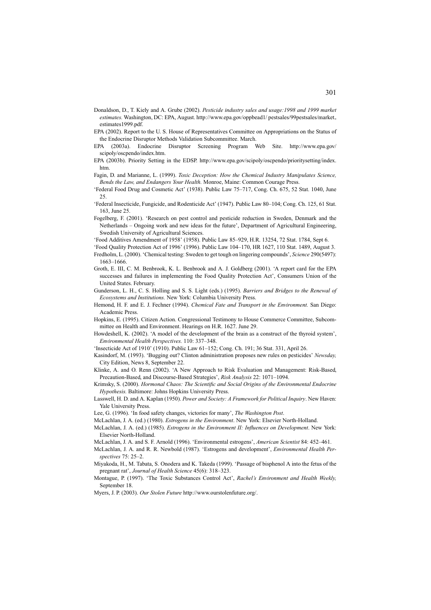- Donaldson, D., T. Kiely and A. Grube (2002). *Pesticide industry sales and usage:1998 and 1999 market estimates.* Washington, DC: EPA, August. http://www.epa.gov/oppbead1/ pestsales/99pestsales/market estimates1999.pdf.
- EPA (2002). Report to the U. S. House of Representatives Committee on Appropriations on the Status of the Endocrine Disruptor Methods Validation Subcommittee. March.
- EPA (2003a). Endocrine Disruptor Screening Program Web Site. http://www.epa.gov/ scipoly/oscpendo/index.htm.
- EPA (2003b). Priority Setting in the EDSP. http://www.epa.gov/scipoly/oscpendo/prioritysetting/index. htm.
- Fagin, D. and Marianne, L. (1999). *Toxic Deception: How the Chemical Industry Manipulates Science, Bends the Law, and Endangers Your Health.* Monroe, Maine: Common Courage Press.
- 'Federal Food Drug and Cosmetic Act' (1938). Public Law 75–717, Cong. Ch. 675, 52 Stat. 1040, June 25.
- 'Federal Insecticide, Fungicide, and Rodenticide Act' (1947). Public Law 80–104; Cong. Ch. 125, 61 Stat. 163, June 25.
- Fogelberg, F. (2001). 'Research on pest control and pesticide reduction in Sweden, Denmark and the Netherlands – Ongoing work and new ideas for the future', Department of Agricultural Engineering, Swedish University of Agricultural Sciences.
- 'Food Additives Amendment of 1958' (1958). Public Law 85–929, H.R. 13254, 72 Stat. 1784, Sept 6.
- 'Food Quality Protection Act of 1996' (1996). Public Law 104–170, HR 1627, 110 Stat. 1489, August 3.
- Fredholm, L. (2000). 'Chemical testing: Sweden to get tough on lingering compounds', *Science* 290(5497): 1663–1666.
- Groth, E. III, C. M. Benbrook, K. L. Benbrook and A. J. Goldberg (2001). 'A report card for the EPA successes and failures in implementing the Food Quality Protection Act', Consumers Union of the United States. February.
- Gunderson, L. H., C. S. Holling and S. S. Light (eds.) (1995). *Barriers and Bridges to the Renewal of Ecosystems and Institutions.* New York: Columbia University Press.
- Hemond, H. F. and E. J. Fechner (1994). *Chemical Fate and Transport in the Environment.* San Diego: Academic Press.
- Hopkins, E. (1995). Citizen Action. Congressional Testimony to House Commerce Committee, Subcommittee on Health and Environment. Hearings on H.R. 1627. June 29.
- Howdeshell, K. (2002). 'A model of the development of the brain as a construct of the thyroid system', *Environmental Health Perspectives.* 110: 337–348.
- 'Insecticide Act of 1910' (1910). Public Law 61–152; Cong. Ch. 191; 36 Stat. 331, April 26.
- Kasindorf, M. (1993). 'Bugging out? Clinton administration proposes new rules on pesticides' *Newsday,* City Edition, News 8, September 22.
- Klinke, A. and O. Renn (2002). 'A New Approach to Risk Evaluation and Management: Risk-Based, Precaution-Based, and Discourse-Based Strategies', *Risk Analysis* 22: 1071–1094.
- Krimsky, S. (2000). *Hormonal Chaos: The Scientific and Social Origins of the Environmental Endocrine Hypothesis.* Baltimore: Johns Hopkins University Press.
- Lasswell, H. D. and A. Kaplan (1950). *Power and Society: A Framework for Political Inquiry*. New Haven: Yale University Press.
- Lee, G. (1996). 'In food safety changes, victories for many', *The Washington Post*.
- McLachlan, J. A. (ed.) (1980). *Estrogens in the Environment*. New York: Elsevier North-Holland.
- McLachlan, J. A. (ed.) (1985). *Estrogens in the Environment II: Influences on Development*. New York: Elsevier North-Holland.
- McLachlan, J. A. and S. F. Arnold (1996). 'Environmental estrogens', *American Scientist* 84: 452–461.
- McLachlan, J. A. and R. R. Newbold (1987). 'Estrogens and development', *Environmental Health Perspectives* 75: 25–2.
- Miyakoda, H., M. Tabata, S. Onodera and K. Takeda (1999). 'Passage of bisphenol A into the fetus of the pregnant rat', *Journal of Health Science* 45(6): 318–323.
- Montague, P. (1997). 'The Toxic Substances Control Act', *Rachel's Environment and Health Weekly,* September 18.
- Myers, J. P. (2003). *Our Stolen Future* http://www.ourstolenfuture.org/.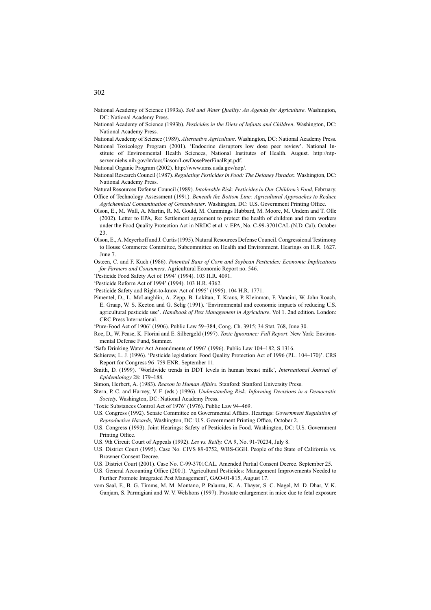- National Academy of Science (1993a). *Soil and Water Quality: An Agenda for Agriculture*. Washington, DC: National Academy Press.
- National Academy of Science (1993b). *Pesticides in the Diets of Infants and Children*. Washington, DC: National Academy Press.
- National Academy of Science (1989). *Alternative Agriculture*. Washington, DC: National Academy Press. National Toxicology Program (2001). 'Endocrine disruptors low dose peer review'. National Institute of Environmental Health Sciences, National Institutes of Health. August. http://ntp-

server.niehs.nih.gov/htdocs/liason/LowDosePeerFinalRpt.pdf. National Organic Program (2002). http://www.ams.usda.gov/nop/.

National Research Council (1987). *Regulating Pesticides in Food: The Delaney Paradox*. Washington, DC: National Academy Press.

Natural Resources Defense Council (1989). *Intolerable Risk: Pesticides in Our Children's Food*, February. Office of Technology Assessment (1991). *Beneath the Bottom Line: Agricultural Approaches to Reduce*

- *Agrichemical Contamination of Groundwater*. Washington, DC: U.S. Government Printing Office.
- Olson, E., M. Wall, A. Martin, R. M. Gould, M. Cummings Hubbard, M. Moore, M. Undem and T. Olle (2002). Letter to EPA, Re: Settlement agreement to protect the health of children and farm workers under the Food Quality Protection Act in NRDC et al. v. EPA, No. C-99-3701CAL (N.D. Cal). October  $23$
- Olson, E., A. Meyerhoff and J. Curtis (1995). Natural Resources Defense Council. Congressional Testimony to House Commerce Committee, Subcommittee on Health and Environment. Hearings on H.R. 1627. June 7.
- Osteen, C. and F. Kuch (1986). *Potential Bans of Corn and Soybean Pesticides: Economic Implications for Farmers and Consumers*. Agricultural Economic Report no. 546.
- 'Pesticide Food Safety Act of 1994' (1994). 103 H.R. 4091.
- 'Pesticide Reform Act of 1994' (1994). 103 H.R. 4362.
- 'Pesticide Safety and Right-to-know Act of 1995' (1995). 104 H.R. 1771.
- Pimentel, D., L. McLaughlin, A. Zepp, B. Lakitan, T. Kraus, P. Kleinman, F. Vancini, W. John Roach, E. Graap, W. S. Keeton and G. Selig (1991). 'Environmental and economic impacts of reducing U.S. agricultural pesticide use'. *Handbook of Pest Management in Agriculture*. Vol 1. 2nd edition. London: CRC Press International.
- 'Pure-Food Act of 1906' (1906). Public Law 59–384, Cong. Ch. 3915; 34 Stat. 768, June 30.
- Roe, D., W. Pease, K. Florini and E. Silbergeld (1997). *Toxic Ignorance: Full Report*. New York: Environmental Defense Fund, Summer.
- 'Safe Drinking Water Act Amendments of 1996' (1996). Public Law 104–182, S 1316.
- Schierow, L. J. (1996). 'Pesticide legislation: Food Quality Protection Act of 1996 (P.L. 104–170)'. CRS Report for Congress 96–759 ENR. September 11.
- Smith, D. (1999). 'Worldwide trends in DDT levels in human breast milk', *International Journal of Epidemiology* 28: 179–188.
- Simon, Herbert, A. (1983). *Reason in Human Affairs.* Stanford: Stanford University Press.
- Stern, P. C. and Harvey, V. F. (eds.) (1996). *Understanding Risk: Informing Decisions in a Democratic Society.* Washington, DC: National Academy Press.
- 'Toxic Substances Control Act of 1976' (1976). Public Law 94–469.
- U.S. Congress (1992). Senate Committee on Governmental Affairs. Hearings: *Government Regulation of Reproductive Hazards,* Washington, DC: U.S. Government Printing Office, October 2.
- U.S. Congress (1993). Joint Hearings: Safety of Pesticides in Food. Washington, DC: U.S. Government Printing Office.
- U.S. 9th Circuit Court of Appeals (1992). *Les vs. Reilly.* CA 9, No. 91-70234, July 8.
- U.S. District Court (1995). Case No. CIVS 89-0752, WBS-GGH. People of the State of California vs. Browner Consent Decree.
- U.S. District Court (2001). Case No. C-99-3701CAL. Amended Partial Consent Decree. September 25.
- U.S. General Accounting Office (2001). 'Agricultural Pesticides: Management Improvements Needed to Further Promote Integrated Pest Management', GAO-01-815, August 17.
- vom Saal, F., B. G. Timms, M. M. Montano, P. Palanza, K. A. Thayer, S. C. Nagel, M. D. Dhar, V. K. Ganjam, S. Parmigiani and W. V. Welshons (1997). Prostate enlargement in mice due to fetal exposure